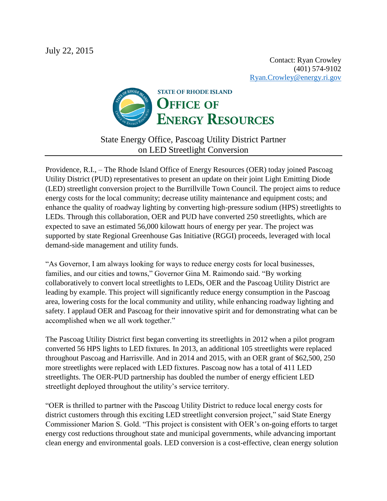Contact: Ryan Crowley (401) 574-9102 [Ryan.Crowley@energy.ri.gov](mailto:Ryan.Crowley@energy.ri.gov)



State Energy Office, Pascoag Utility District Partner on LED Streetlight Conversion

Providence, R.I., – The Rhode Island Office of Energy Resources (OER) today joined Pascoag Utility District (PUD) representatives to present an update on their joint Light Emitting Diode (LED) streetlight conversion project to the Burrillville Town Council. The project aims to reduce energy costs for the local community; decrease utility maintenance and equipment costs; and enhance the quality of roadway lighting by converting high-pressure sodium (HPS) streetlights to LEDs. Through this collaboration, OER and PUD have converted 250 streetlights, which are expected to save an estimated 56,000 kilowatt hours of energy per year. The project was supported by state Regional Greenhouse Gas Initiative (RGGI) proceeds, leveraged with local demand-side management and utility funds.

"As Governor, I am always looking for ways to reduce energy costs for local businesses, families, and our cities and towns," Governor Gina M. Raimondo said. "By working collaboratively to convert local streetlights to LEDs, OER and the Pascoag Utility District are leading by example. This project will significantly reduce energy consumption in the Pascoag area, lowering costs for the local community and utility, while enhancing roadway lighting and safety. I applaud OER and Pascoag for their innovative spirit and for demonstrating what can be accomplished when we all work together."

The Pascoag Utility District first began converting its streetlights in 2012 when a pilot program converted 56 HPS lights to LED fixtures. In 2013, an additional 105 streetlights were replaced throughout Pascoag and Harrisville. And in 2014 and 2015, with an OER grant of \$62,500, 250 more streetlights were replaced with LED fixtures. Pascoag now has a total of 411 LED streetlights. The OER-PUD partnership has doubled the number of energy efficient LED streetlight deployed throughout the utility's service territory.

"OER is thrilled to partner with the Pascoag Utility District to reduce local energy costs for district customers through this exciting LED streetlight conversion project," said State Energy Commissioner Marion S. Gold. "This project is consistent with OER's on-going efforts to target energy cost reductions throughout state and municipal governments, while advancing important clean energy and environmental goals. LED conversion is a cost-effective, clean energy solution